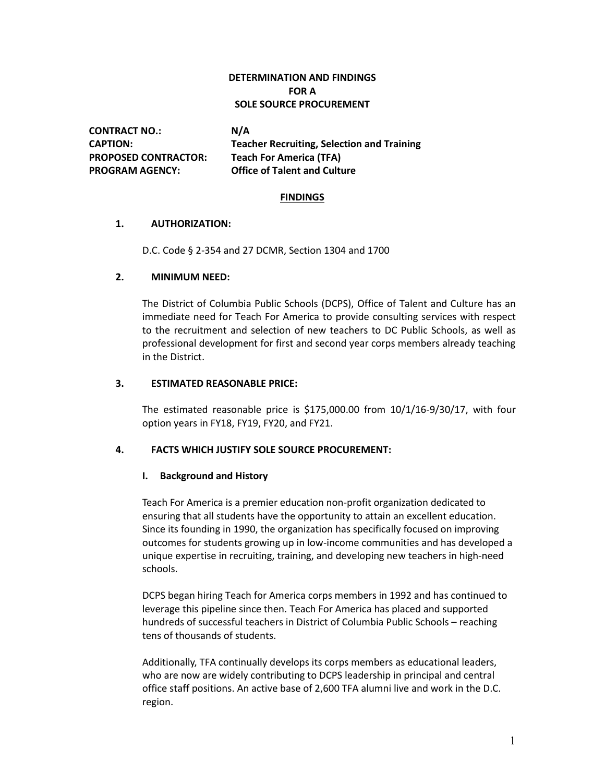# **DETERMINATION AND FINDINGS FOR A SOLE SOURCE PROCUREMENT**

**CONTRACT NO.: N/A PROPOSED CONTRACTOR: Teach For America (TFA)**

**CAPTION: Teacher Recruiting, Selection and Training PROGRAM AGENCY: Office of Talent and Culture**

## **FINDINGS**

## **1. AUTHORIZATION:**

D.C. Code § 2-354 and 27 DCMR, Section 1304 and 1700

## **2. MINIMUM NEED:**

The District of Columbia Public Schools (DCPS), Office of Talent and Culture has an immediate need for Teach For America to provide consulting services with respect to the recruitment and selection of new teachers to DC Public Schools, as well as professional development for first and second year corps members already teaching in the District.

## **3. ESTIMATED REASONABLE PRICE:**

The estimated reasonable price is \$175,000.00 from 10/1/16-9/30/17, with four option years in FY18, FY19, FY20, and FY21.

## **4. FACTS WHICH JUSTIFY SOLE SOURCE PROCUREMENT:**

## **I. Background and History**

Teach For America is a premier education non-profit organization dedicated to ensuring that all students have the opportunity to attain an excellent education. Since its founding in 1990, the organization has specifically focused on improving outcomes for students growing up in low-income communities and has developed a unique expertise in recruiting, training, and developing new teachers in high-need schools.

DCPS began hiring Teach for America corps members in 1992 and has continued to leverage this pipeline since then. Teach For America has placed and supported hundreds of successful teachers in District of Columbia Public Schools – reaching tens of thousands of students.

Additionally, TFA continually develops its corps members as educational leaders, who are now are widely contributing to DCPS leadership in principal and central office staff positions. An active base of 2,600 TFA alumni live and work in the D.C. region.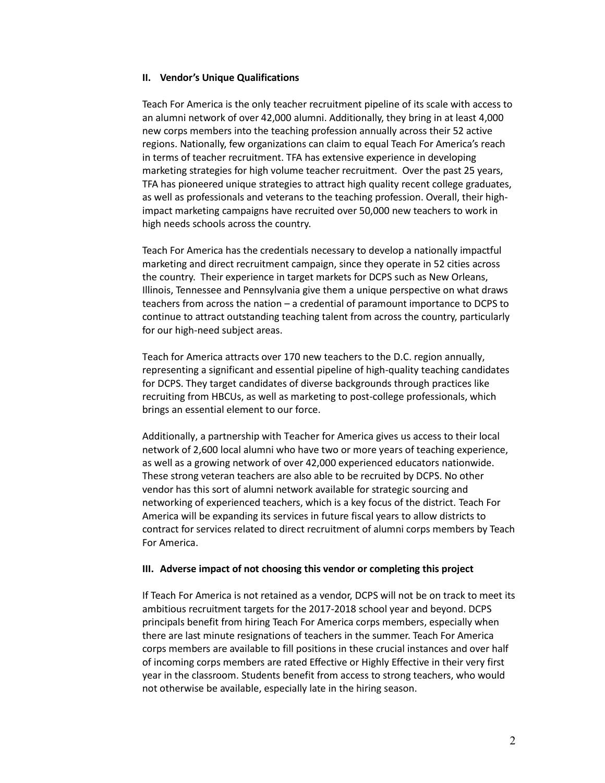#### **II. Vendor's Unique Qualifications**

Teach For America is the only teacher recruitment pipeline of its scale with access to an alumni network of over 42,000 alumni. Additionally, they bring in at least 4,000 new corps members into the teaching profession annually across their 52 active regions. Nationally, few organizations can claim to equal Teach For America's reach in terms of teacher recruitment. TFA has extensive experience in developing marketing strategies for high volume teacher recruitment. Over the past 25 years, TFA has pioneered unique strategies to attract high quality recent college graduates, as well as professionals and veterans to the teaching profession. Overall, their highimpact marketing campaigns have recruited over 50,000 new teachers to work in high needs schools across the country.

Teach For America has the credentials necessary to develop a nationally impactful marketing and direct recruitment campaign, since they operate in 52 cities across the country. Their experience in target markets for DCPS such as New Orleans, Illinois, Tennessee and Pennsylvania give them a unique perspective on what draws teachers from across the nation – a credential of paramount importance to DCPS to continue to attract outstanding teaching talent from across the country, particularly for our high-need subject areas.

Teach for America attracts over 170 new teachers to the D.C. region annually, representing a significant and essential pipeline of high-quality teaching candidates for DCPS. They target candidates of diverse backgrounds through practices like recruiting from HBCUs, as well as marketing to post-college professionals, which brings an essential element to our force.

Additionally, a partnership with Teacher for America gives us access to their local network of 2,600 local alumni who have two or more years of teaching experience, as well as a growing network of over 42,000 experienced educators nationwide. These strong veteran teachers are also able to be recruited by DCPS. No other vendor has this sort of alumni network available for strategic sourcing and networking of experienced teachers, which is a key focus of the district. Teach For America will be expanding its services in future fiscal years to allow districts to contract for services related to direct recruitment of alumni corps members by Teach For America.

#### **III. Adverse impact of not choosing this vendor or completing this project**

If Teach For America is not retained as a vendor, DCPS will not be on track to meet its ambitious recruitment targets for the 2017-2018 school year and beyond. DCPS principals benefit from hiring Teach For America corps members, especially when there are last minute resignations of teachers in the summer. Teach For America corps members are available to fill positions in these crucial instances and over half of incoming corps members are rated Effective or Highly Effective in their very first year in the classroom. Students benefit from access to strong teachers, who would not otherwise be available, especially late in the hiring season.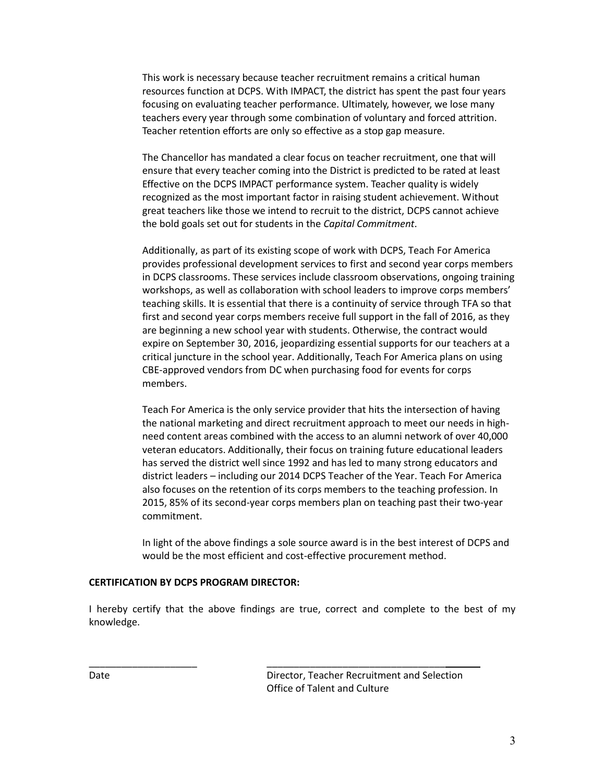This work is necessary because teacher recruitment remains a critical human resources function at DCPS. With IMPACT, the district has spent the past four years focusing on evaluating teacher performance. Ultimately, however, we lose many teachers every year through some combination of voluntary and forced attrition. Teacher retention efforts are only so effective as a stop gap measure.

The Chancellor has mandated a clear focus on teacher recruitment, one that will ensure that every teacher coming into the District is predicted to be rated at least Effective on the DCPS IMPACT performance system. Teacher quality is widely recognized as the most important factor in raising student achievement. Without great teachers like those we intend to recruit to the district, DCPS cannot achieve the bold goals set out for students in the *Capital Commitment*.

Additionally, as part of its existing scope of work with DCPS, Teach For America provides professional development services to first and second year corps members in DCPS classrooms. These services include classroom observations, ongoing training workshops, as well as collaboration with school leaders to improve corps members' teaching skills. It is essential that there is a continuity of service through TFA so that first and second year corps members receive full support in the fall of 2016, as they are beginning a new school year with students. Otherwise, the contract would expire on September 30, 2016, jeopardizing essential supports for our teachers at a critical juncture in the school year. Additionally, Teach For America plans on using CBE-approved vendors from DC when purchasing food for events for corps members.

Teach For America is the only service provider that hits the intersection of having the national marketing and direct recruitment approach to meet our needs in highneed content areas combined with the access to an alumni network of over 40,000 veteran educators. Additionally, their focus on training future educational leaders has served the district well since 1992 and has led to many strong educators and district leaders – including our 2014 DCPS Teacher of the Year. Teach For America also focuses on the retention of its corps members to the teaching profession. In 2015, 85% of its second-year corps members plan on teaching past their two-year commitment.

In light of the above findings a sole source award is in the best interest of DCPS and would be the most efficient and cost-effective procurement method.

## **CERTIFICATION BY DCPS PROGRAM DIRECTOR:**

I hereby certify that the above findings are true, correct and complete to the best of my knowledge.

\_\_\_\_\_\_\_\_\_\_\_\_\_\_\_\_\_\_\_\_ \_\_\_\_\_\_\_\_\_\_\_\_\_\_\_\_\_\_\_\_\_\_\_\_\_\_\_\_\_\_\_\_\_

Date Director, Teacher Recruitment and Selection Office of Talent and Culture